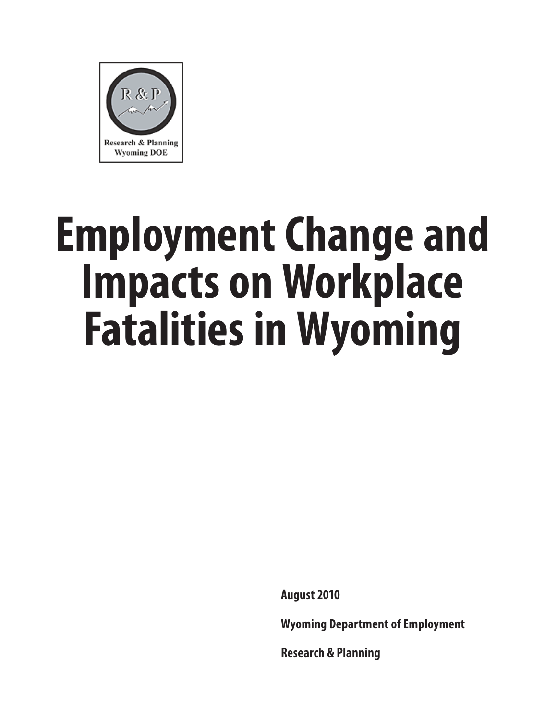

# **Employment Change and Impacts on Workplace Fatalities in Wyoming**

**August 2010**

**Wyoming Department of Employment**

**Research & Planning**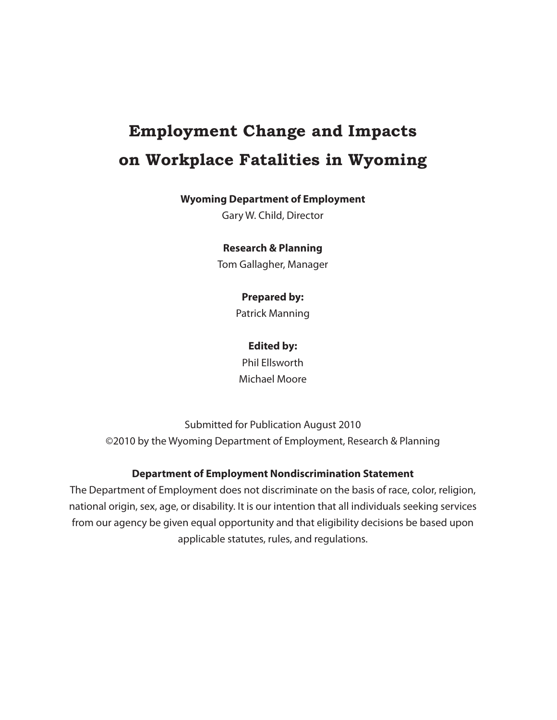# **Employment Change and Impacts on Workplace Fatalities in Wyoming**

## **Wyoming Department of Employment**

Gary W. Child, Director

## **Research & Planning**

Tom Gallagher, Manager

## **Prepared by:**

Patrick Manning

## **Edited by:**

Phil Ellsworth Michael Moore

Submitted for Publication August 2010 ©2010 by the Wyoming Department of Employment, Research & Planning

## **Department of Employment Nondiscrimination Statement**

The Department of Employment does not discriminate on the basis of race, color, religion, national origin, sex, age, or disability. It is our intention that all individuals seeking services from our agency be given equal opportunity and that eligibility decisions be based upon applicable statutes, rules, and regulations.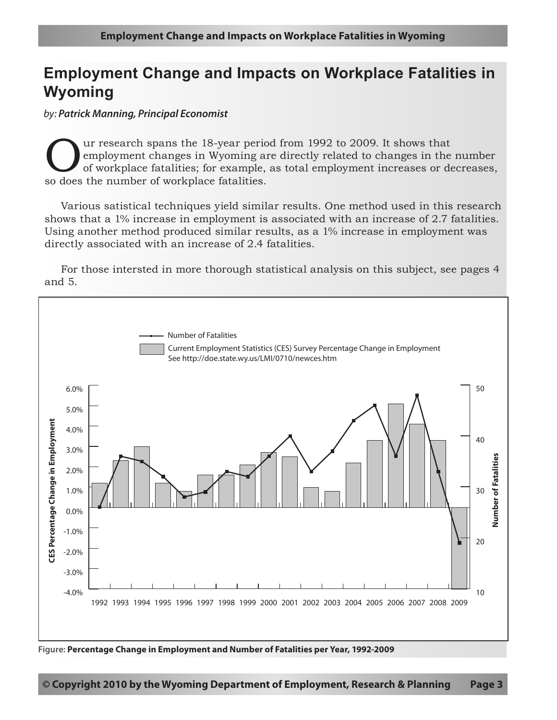## **Employment Change and Impacts on Workplace Fatalities in Wyoming**

*by: Patrick Manning, Principal Economist*

Our research spans the 18-year period from 1992 to 2009. It shows that<br>
of workplace fatalities; for example, as total employment increases or de<br>
so does the number of workplace fatalities employment changes in Wyoming are directly related to changes in the number of workplace fatalities; for example, as total employment increases or decreases, so does the number of workplace fatalities.

Various satistical techniques yield similar results. One method used in this research shows that a 1% increase in employment is associated with an increase of 2.7 fatalities. Using another method produced similar results, as a 1% increase in employment was directly associated with an increase of 2.4 fatalities.

For those intersted in more thorough statistical analysis on this subject, see pages 4 and 5.



**Figure: Percentage Change in Employment and Number of Fatalities per Year, 1992-2009**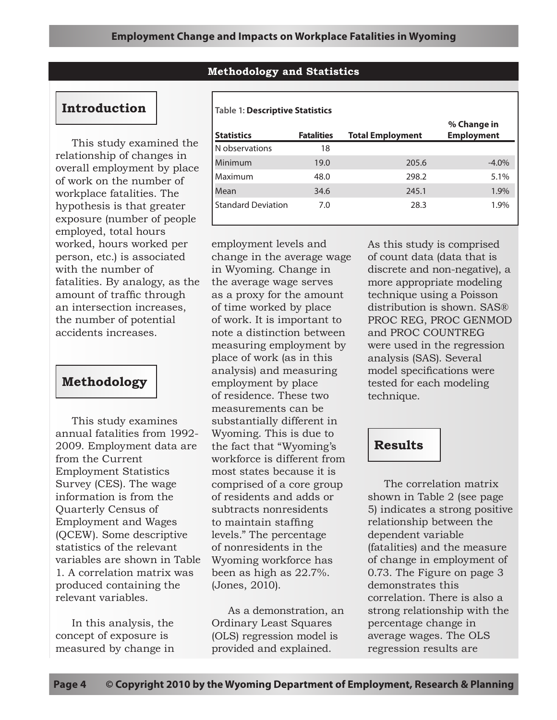## **Methodology and Statistics**

**Statistics Fatalities Total Employment**

Minimum 19.0 205.6 -4.0% Maximum 48.0 298.2 5.1% Mean 34.6 245.1 1.9% Standard Deviation 7.0 28.3 28.3 1.9%

## **Introduction**

**Table 1: Descriptive Statistics**

N observations 18

| This study examined the        |
|--------------------------------|
| relationship of changes in     |
| overall employment by place    |
| of work on the number of       |
| workplace fatalities. The      |
| hypothesis is that greater     |
| exposure (number of people)    |
| employed, total hours          |
| worked, hours worked per       |
| person, etc.) is associated    |
| with the number of             |
| fatalities. By analogy, as the |
| amount of traffic through      |
| an intersection increases,     |
| the number of potential        |
| accidents increases.           |

## **Methodology**

This study examines annual fatalities from 1992- 2009. Employment data are from the Current Employment Statistics Survey (CES). The wage information is from the Quarterly Census of Employment and Wages (QCEW). Some descriptive statistics of the relevant variables are shown in Table 1. A correlation matrix was produced containing the relevant variables.

In this analysis, the concept of exposure is measured by change in

employment levels and change in the average wage in Wyoming. Change in the average wage serves as a proxy for the amount of time worked by place of work. It is important to note a distinction between measuring employment by place of work (as in this analysis) and measuring employment by place of residence. These two measurements can be substantially different in Wyoming. This is due to the fact that "Wyoming's workforce is different from most states because it is comprised of a core group of residents and adds or subtracts nonresidents to maintain staffing levels." The percentage of nonresidents in the Wyoming workforce has been as high as 22.7%. (Jones, 2010).

As a demonstration, an Ordinary Least Squares (OLS) regression model is provided and explained.

As this study is comprised of count data (data that is discrete and non-negative), a more appropriate modeling technique using a Poisson distribution is shown. SAS® PROC REG, PROC GENMOD and PROC COUNTREG were used in the regression analysis (SAS). Several model specifications were tested for each modeling technique.

**% Change in Employment**

## **Results**

The correlation matrix shown in Table 2 (see page 5) indicates a strong positive relationship between the dependent variable (fatalities) and the measure of change in employment of 0.73. The Figure on page 3 demonstrates this correlation. There is also a strong relationship with the percentage change in average wages. The OLS regression results are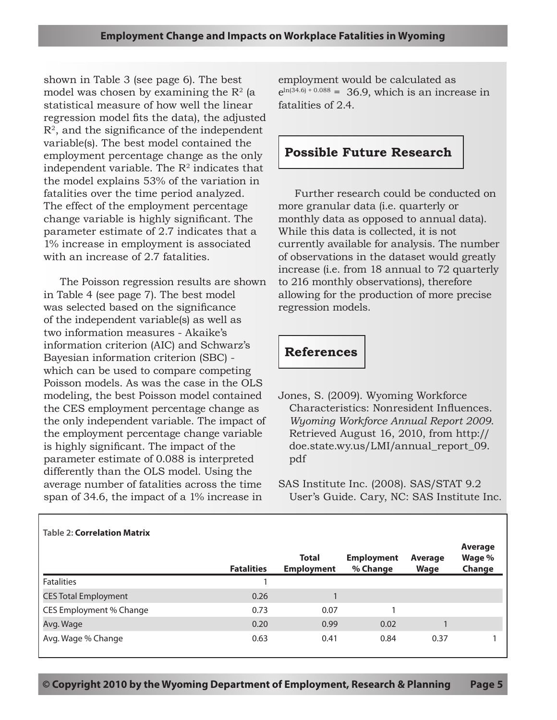shown in Table 3 (see page 6). The best model was chosen by examining the  $\mathbb{R}^2$  (a statistical measure of how well the linear regression model fits the data), the adjusted  $R<sup>2</sup>$ , and the significance of the independent variable(s). The best model contained the employment percentage change as the only independent variable. The  $R<sup>2</sup>$  indicates that the model explains 53% of the variation in fatalities over the time period analyzed. The effect of the employment percentage change variable is highly significant. The parameter estimate of 2.7 indicates that a 1% increase in employment is associated with an increase of 2.7 fatalities.

The Poisson regression results are shown in Table 4 (see page 7). The best model was selected based on the significance of the independent variable(s) as well as two information measures - Akaike's information criterion (AIC) and Schwarz's Bayesian information criterion (SBC) which can be used to compare competing Poisson models. As was the case in the OLS modeling, the best Poisson model contained the CES employment percentage change as the only independent variable. The impact of the employment percentage change variable is highly significant. The impact of the parameter estimate of 0.088 is interpreted differently than the OLS model. Using the average number of fatalities across the time span of 34.6, the impact of a 1% increase in

employment would be calculated as  $e^{\ln(34.6) + 0.088} = 36.9$ , which is an increase in fatalities of 2.4.

## **Possible Future Research**

Further research could be conducted on more granular data (i.e. quarterly or monthly data as opposed to annual data). While this data is collected, it is not currently available for analysis. The number of observations in the dataset would greatly increase (i.e. from 18 annual to 72 quarterly to 216 monthly observations), therefore allowing for the production of more precise regression models.

# **References**

Jones, S. (2009). Wyoming Workforce Characteristics: Nonresident Influences. *Wyoming Workforce Annual Report 2009*. Retrieved August 16, 2010, from http:// doe.state.wy.us/LMI/annual\_report\_09. pdf

SAS Institute Inc. (2008). SAS/STAT 9.2 User's Guide. Cary, NC: SAS Institute Inc.

| <b>Table 2: Correlation Matrix</b> |                   |                                   |                               |                        |                             |  |
|------------------------------------|-------------------|-----------------------------------|-------------------------------|------------------------|-----------------------------|--|
|                                    | <b>Fatalities</b> | <b>Total</b><br><b>Employment</b> | <b>Employment</b><br>% Change | Average<br><b>Wage</b> | Average<br>Wage %<br>Change |  |
| <b>Fatalities</b>                  |                   |                                   |                               |                        |                             |  |
| <b>CES Total Employment</b>        | 0.26              |                                   |                               |                        |                             |  |
| CES Employment % Change            | 0.73              | 0.07                              |                               |                        |                             |  |
| Avg. Wage                          | 0.20              | 0.99                              | 0.02                          |                        |                             |  |
| Avg. Wage % Change                 | 0.63              | 0.41                              | 0.84                          | 0.37                   |                             |  |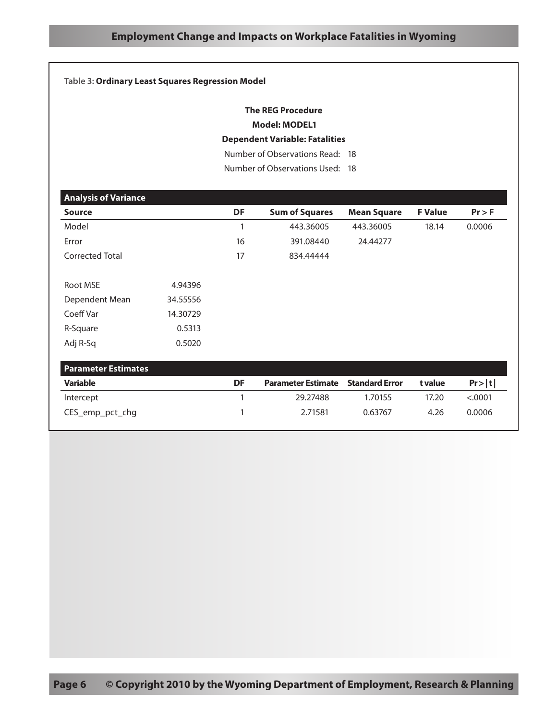#### **Table 3: Ordinary Least Squares Regression Model**

## **The REG Procedure Model: MODEL1**

#### **Dependent Variable: Fatalities**

Number of Observations Read: 18

Number of Observations Used: 18

| <b>Analysis of Variance</b> |          |    |                           |                       |                |         |
|-----------------------------|----------|----|---------------------------|-----------------------|----------------|---------|
| <b>Source</b>               |          | DF | <b>Sum of Squares</b>     | <b>Mean Square</b>    | <b>F</b> Value | Pr > F  |
| Model                       |          | 1  | 443.36005                 | 443.36005             | 18.14          | 0.0006  |
| Error                       |          | 16 | 391.08440                 | 24.44277              |                |         |
| <b>Corrected Total</b>      |          | 17 | 834.44444                 |                       |                |         |
| Root MSE                    | 4.94396  |    |                           |                       |                |         |
| Dependent Mean              | 34.55556 |    |                           |                       |                |         |
| Coeff Var                   | 14.30729 |    |                           |                       |                |         |
| R-Square                    | 0.5313   |    |                           |                       |                |         |
| Adj R-Sq                    | 0.5020   |    |                           |                       |                |         |
| <b>Parameter Estimates</b>  |          |    |                           |                       |                |         |
| <b>Variable</b>             |          | DF | <b>Parameter Estimate</b> | <b>Standard Error</b> | t value        | Pr> t   |
| Intercept                   |          | 1  | 29.27488                  | 1.70155               | 17.20          | < .0001 |
| CES_emp_pct_chg             |          | 1  | 2.71581                   | 0.63767               | 4.26           | 0.0006  |